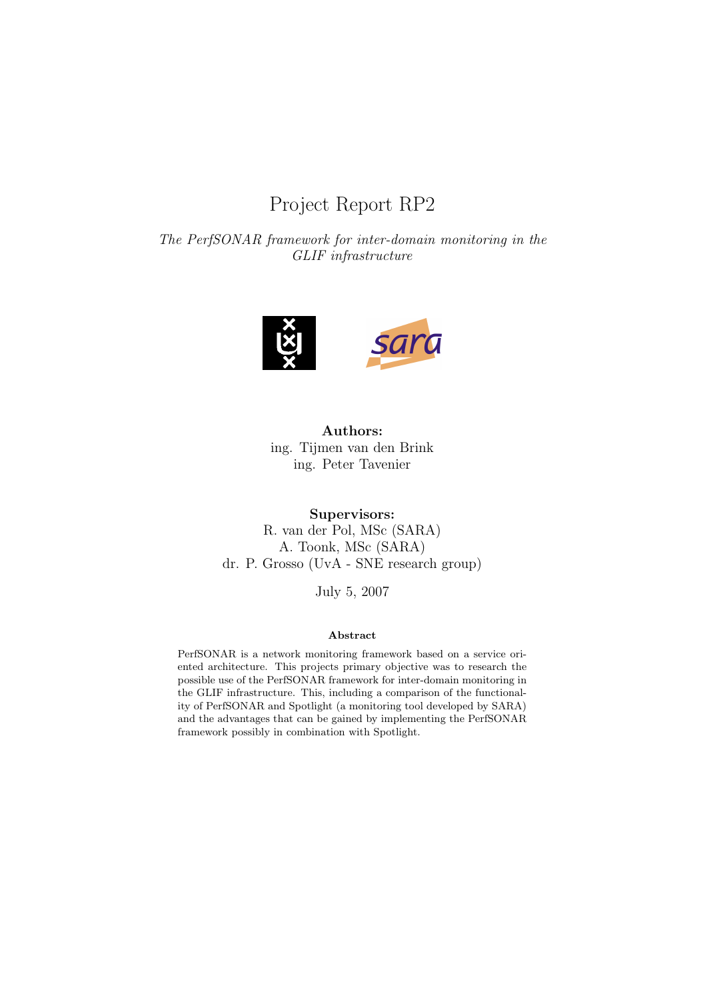# Project Report RP2

The PerfSONAR framework for inter-domain monitoring in the GLIF infrastructure



Authors: ing. Tijmen van den Brink ing. Peter Tavenier

Supervisors: R. van der Pol, MSc (SARA) A. Toonk, MSc (SARA) dr. P. Grosso (UvA - SNE research group)

July 5, 2007

#### Abstract

PerfSONAR is a network monitoring framework based on a service oriented architecture. This projects primary objective was to research the possible use of the PerfSONAR framework for inter-domain monitoring in the GLIF infrastructure. This, including a comparison of the functionality of PerfSONAR and Spotlight (a monitoring tool developed by SARA) and the advantages that can be gained by implementing the PerfSONAR framework possibly in combination with Spotlight.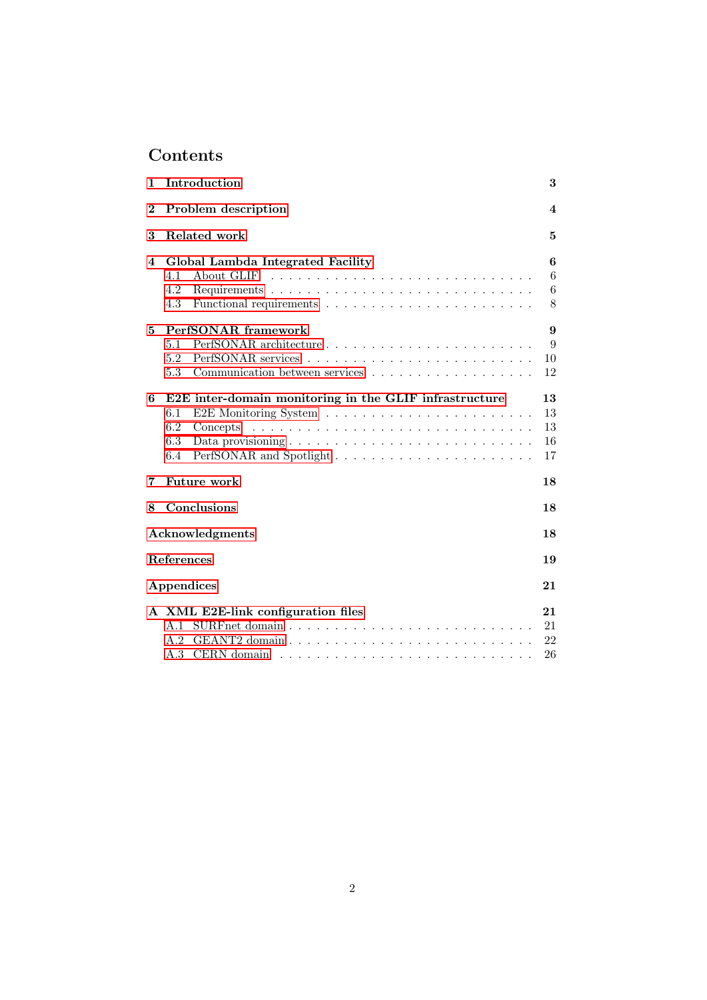# Contents

| 1              | Introduction                                                                                                           |                            |  |  |  |  |
|----------------|------------------------------------------------------------------------------------------------------------------------|----------------------------|--|--|--|--|
| $\overline{2}$ | Problem description                                                                                                    |                            |  |  |  |  |
| 3              | Related work                                                                                                           | 5                          |  |  |  |  |
| 4              | Global Lambda Integrated Facility<br>4.1<br>4.2<br>4.3                                                                 | 6<br>6<br>6<br>8           |  |  |  |  |
| 5              | PerfSONAR framework<br>5.1<br>5.2<br>Communication between services $\ldots \ldots \ldots \ldots \ldots \ldots$<br>5.3 | 9<br>9<br>10<br>12         |  |  |  |  |
| 6              | E2E inter-domain monitoring in the GLIF infrastructure<br>6.1<br>6.2<br>Concepts<br>6.3<br>6.4                         | 13<br>13<br>13<br>16<br>17 |  |  |  |  |
| 7              | Future work                                                                                                            | 18                         |  |  |  |  |
| 8              | Conclusions                                                                                                            | 18                         |  |  |  |  |
|                | Acknowledgments                                                                                                        | 18                         |  |  |  |  |
|                | <b>References</b>                                                                                                      | 19                         |  |  |  |  |
|                | Appendices                                                                                                             | 21                         |  |  |  |  |
|                | A XML E2E-link configuration files<br>A.2<br>A.3                                                                       | 21<br>21<br>22<br>26       |  |  |  |  |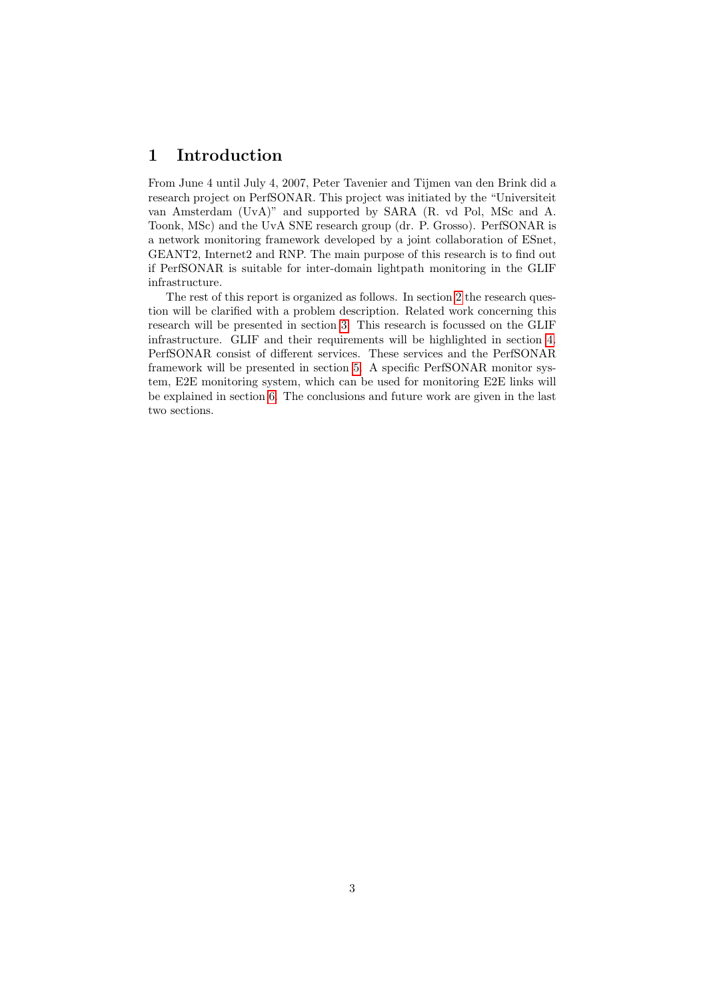# <span id="page-2-0"></span>1 Introduction

From June 4 until July 4, 2007, Peter Tavenier and Tijmen van den Brink did a research project on PerfSONAR. This project was initiated by the "Universiteit van Amsterdam (UvA)" and supported by SARA (R. vd Pol, MSc and A. Toonk, MSc) and the UvA SNE research group (dr. P. Grosso). PerfSONAR is a network monitoring framework developed by a joint collaboration of ESnet, GEANT2, Internet2 and RNP. The main purpose of this research is to find out if PerfSONAR is suitable for inter-domain lightpath monitoring in the GLIF infrastructure.

The rest of this report is organized as follows. In section [2](#page-3-0) the research question will be clarified with a problem description. Related work concerning this research will be presented in section [3.](#page-4-0) This research is focussed on the GLIF infrastructure. GLIF and their requirements will be highlighted in section [4.](#page-5-0) PerfSONAR consist of different services. These services and the PerfSONAR framework will be presented in section [5.](#page-8-0) A specific PerfSONAR monitor system, E2E monitoring system, which can be used for monitoring E2E links will be explained in section [6.](#page-12-0) The conclusions and future work are given in the last two sections.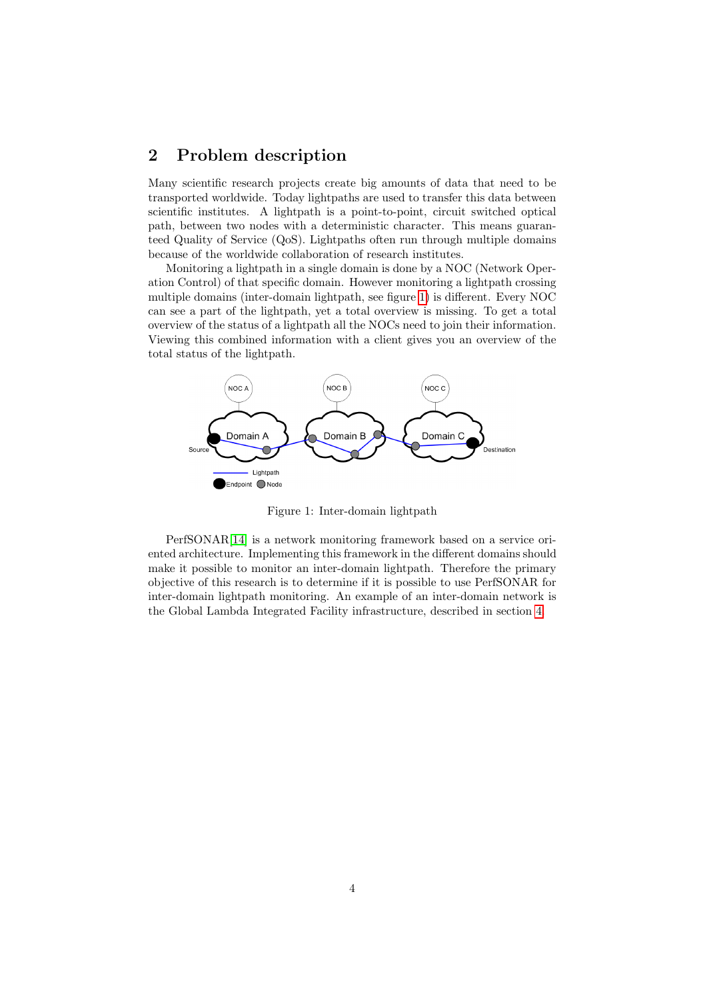# <span id="page-3-0"></span>2 Problem description

Many scientific research projects create big amounts of data that need to be transported worldwide. Today lightpaths are used to transfer this data between scientific institutes. A lightpath is a point-to-point, circuit switched optical path, between two nodes with a deterministic character. This means guaranteed Quality of Service (QoS). Lightpaths often run through multiple domains because of the worldwide collaboration of research institutes.

Monitoring a lightpath in a single domain is done by a NOC (Network Operation Control) of that specific domain. However monitoring a lightpath crossing multiple domains (inter-domain lightpath, see figure [1\)](#page-3-1) is different. Every NOC can see a part of the lightpath, yet a total overview is missing. To get a total overview of the status of a lightpath all the NOCs need to join their information. Viewing this combined information with a client gives you an overview of the total status of the lightpath.



<span id="page-3-1"></span>Figure 1: Inter-domain lightpath

PerfSONAR[\[14\]](#page-18-0) is a network monitoring framework based on a service oriented architecture. Implementing this framework in the different domains should make it possible to monitor an inter-domain lightpath. Therefore the primary objective of this research is to determine if it is possible to use PerfSONAR for inter-domain lightpath monitoring. An example of an inter-domain network is the Global Lambda Integrated Facility infrastructure, described in section [4.](#page-5-0)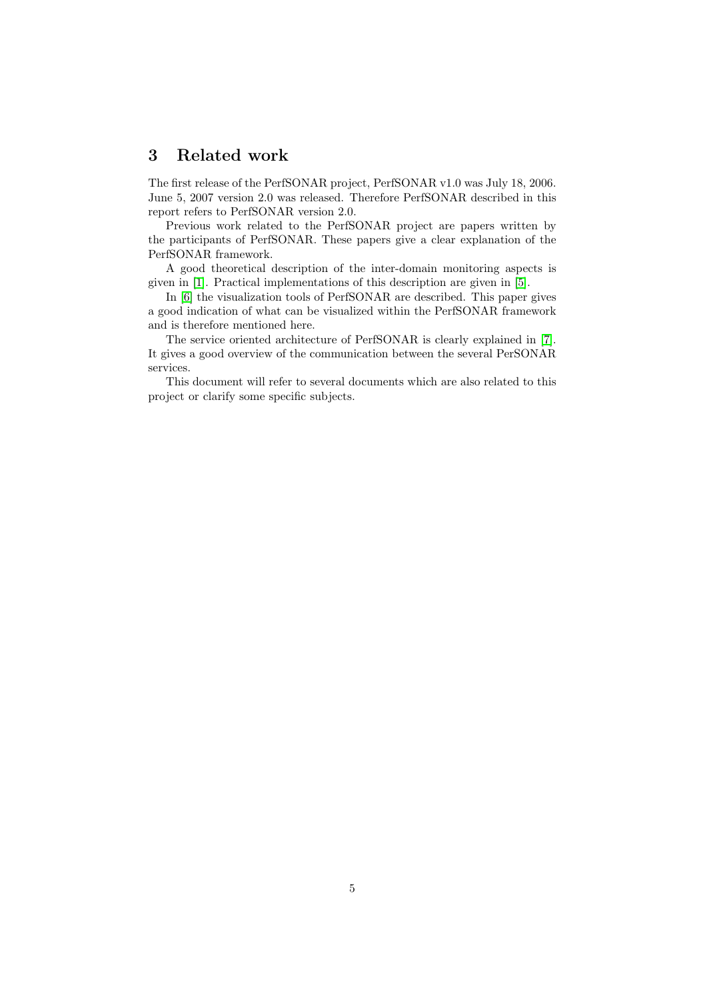# <span id="page-4-0"></span>3 Related work

The first release of the PerfSONAR project, PerfSONAR v1.0 was July 18, 2006. June 5, 2007 version 2.0 was released. Therefore PerfSONAR described in this report refers to PerfSONAR version 2.0.

Previous work related to the PerfSONAR project are papers written by the participants of PerfSONAR. These papers give a clear explanation of the PerfSONAR framework.

A good theoretical description of the inter-domain monitoring aspects is given in [\[1\]](#page-18-1). Practical implementations of this description are given in [\[5\]](#page-18-2).

In [\[6\]](#page-18-3) the visualization tools of PerfSONAR are described. This paper gives a good indication of what can be visualized within the PerfSONAR framework and is therefore mentioned here.

The service oriented architecture of PerfSONAR is clearly explained in [\[7\]](#page-18-4). It gives a good overview of the communication between the several PerSONAR services.

This document will refer to several documents which are also related to this project or clarify some specific subjects.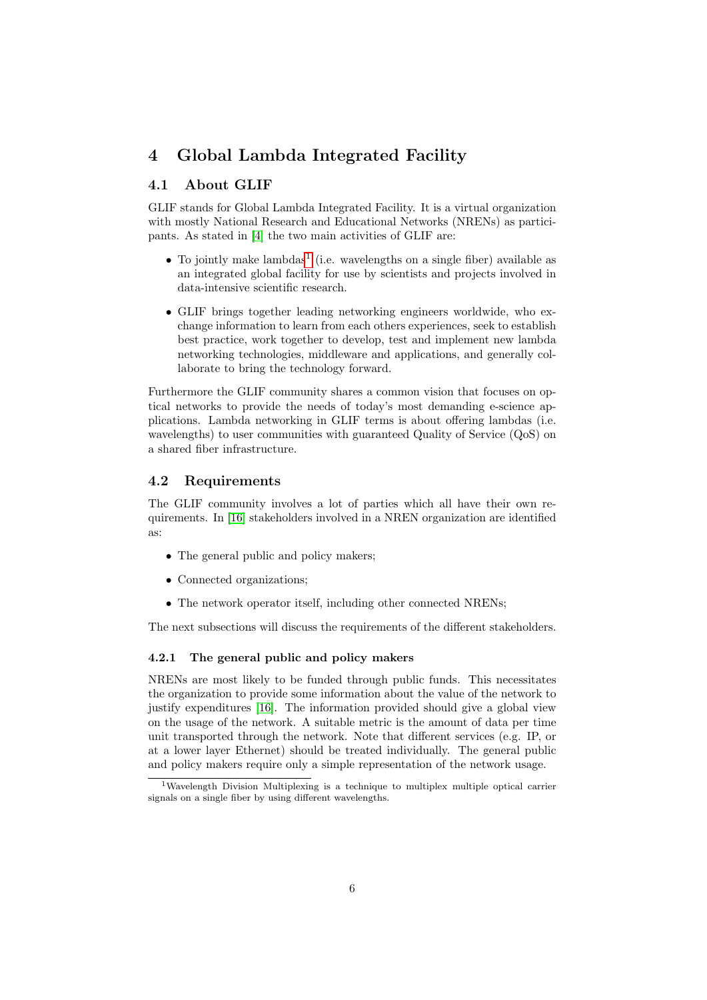# <span id="page-5-0"></span>4 Global Lambda Integrated Facility

### <span id="page-5-1"></span>4.1 About GLIF

GLIF stands for Global Lambda Integrated Facility. It is a virtual organization with mostly National Research and Educational Networks (NRENs) as participants. As stated in [\[4\]](#page-18-5) the two main activities of GLIF are:

- $\bullet$  To jointly make lambdas<sup>[1](#page-5-3)</sup> (i.e. wavelengths on a single fiber) available as an integrated global facility for use by scientists and projects involved in data-intensive scientific research.
- GLIF brings together leading networking engineers worldwide, who exchange information to learn from each others experiences, seek to establish best practice, work together to develop, test and implement new lambda networking technologies, middleware and applications, and generally collaborate to bring the technology forward.

Furthermore the GLIF community shares a common vision that focuses on optical networks to provide the needs of today's most demanding e-science applications. Lambda networking in GLIF terms is about offering lambdas (i.e. wavelengths) to user communities with guaranteed Quality of Service (QoS) on a shared fiber infrastructure.

#### <span id="page-5-2"></span>4.2 Requirements

The GLIF community involves a lot of parties which all have their own requirements. In [\[16\]](#page-18-6) stakeholders involved in a NREN organization are identified as:

- The general public and policy makers;
- Connected organizations;
- The network operator itself, including other connected NRENs;

The next subsections will discuss the requirements of the different stakeholders.

#### <span id="page-5-4"></span>4.2.1 The general public and policy makers

NRENs are most likely to be funded through public funds. This necessitates the organization to provide some information about the value of the network to justify expenditures [\[16\]](#page-18-6). The information provided should give a global view on the usage of the network. A suitable metric is the amount of data per time unit transported through the network. Note that different services (e.g. IP, or at a lower layer Ethernet) should be treated individually. The general public and policy makers require only a simple representation of the network usage.

<span id="page-5-3"></span><sup>1</sup>Wavelength Division Multiplexing is a technique to multiplex multiple optical carrier signals on a single fiber by using different wavelengths.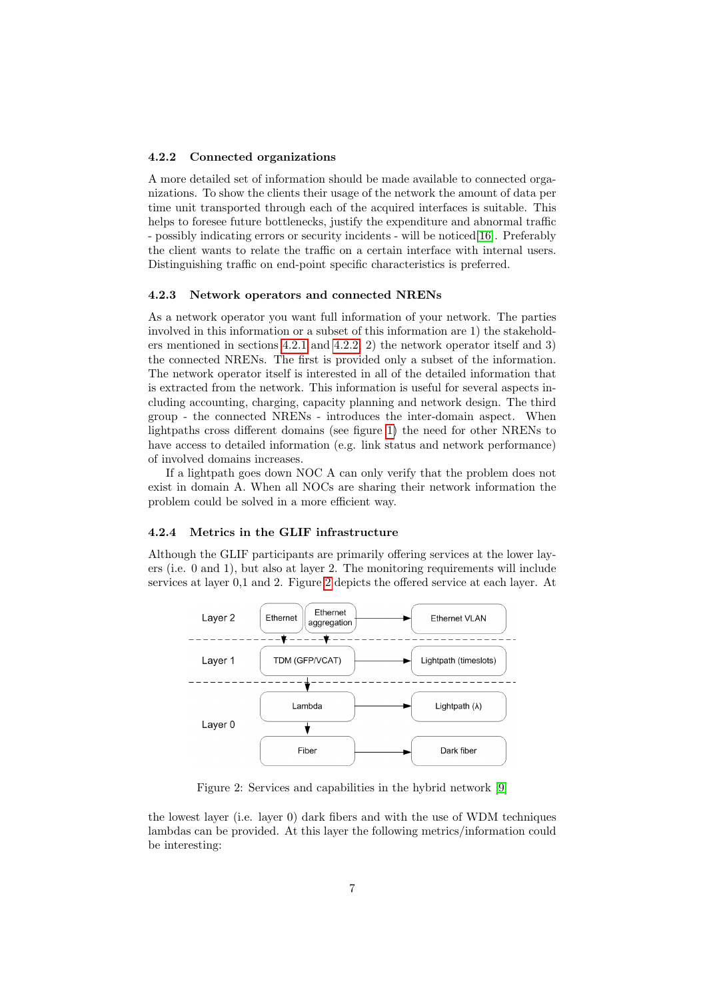#### <span id="page-6-0"></span>4.2.2 Connected organizations

A more detailed set of information should be made available to connected organizations. To show the clients their usage of the network the amount of data per time unit transported through each of the acquired interfaces is suitable. This helps to foresee future bottlenecks, justify the expenditure and abnormal traffic - possibly indicating errors or security incidents - will be noticed[\[16\]](#page-18-6). Preferably the client wants to relate the traffic on a certain interface with internal users. Distinguishing traffic on end-point specific characteristics is preferred.

#### 4.2.3 Network operators and connected NRENs

As a network operator you want full information of your network. The parties involved in this information or a subset of this information are 1) the stakeholders mentioned in sections [4.2.1](#page-5-4) and [4.2.2,](#page-6-0) 2) the network operator itself and 3) the connected NRENs. The first is provided only a subset of the information. The network operator itself is interested in all of the detailed information that is extracted from the network. This information is useful for several aspects including accounting, charging, capacity planning and network design. The third group - the connected NRENs - introduces the inter-domain aspect. When lightpaths cross different domains (see figure [1\)](#page-3-1) the need for other NRENs to have access to detailed information (e.g. link status and network performance) of involved domains increases.

If a lightpath goes down NOC A can only verify that the problem does not exist in domain A. When all NOCs are sharing their network information the problem could be solved in a more efficient way.

#### 4.2.4 Metrics in the GLIF infrastructure

Although the GLIF participants are primarily offering services at the lower layers (i.e. 0 and 1), but also at layer 2. The monitoring requirements will include services at layer 0,1 and 2. Figure [2](#page-6-1) depicts the offered service at each layer. At



<span id="page-6-1"></span>Figure 2: Services and capabilities in the hybrid network [\[9\]](#page-18-7)

the lowest layer (i.e. layer 0) dark fibers and with the use of WDM techniques lambdas can be provided. At this layer the following metrics/information could be interesting: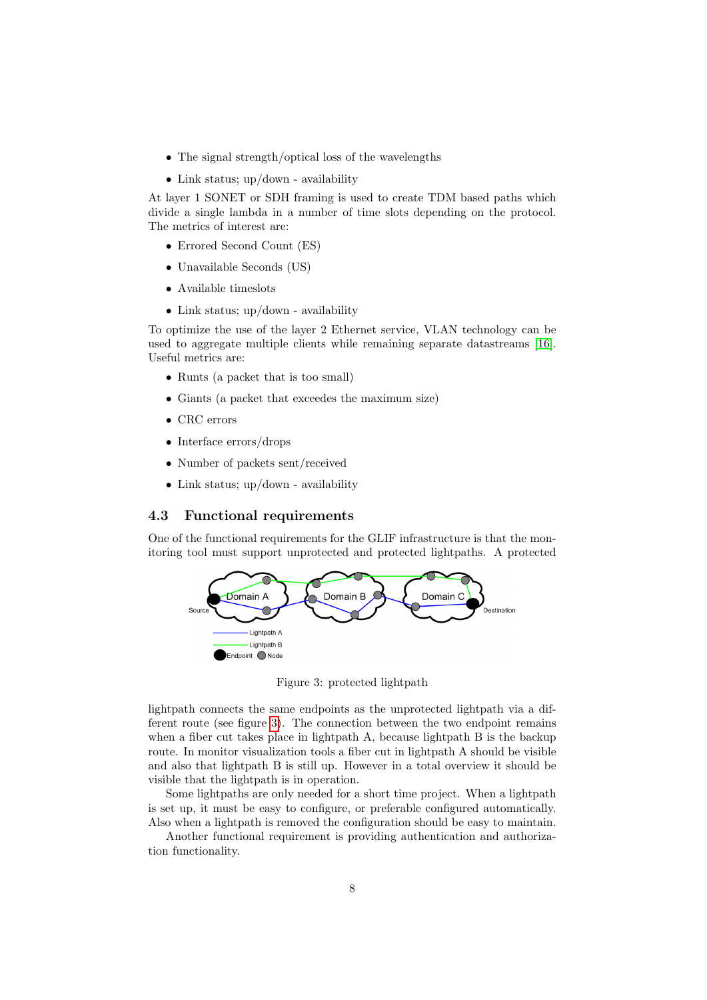- The signal strength/optical loss of the wavelengths
- Link status; up/down availability

At layer 1 SONET or SDH framing is used to create TDM based paths which divide a single lambda in a number of time slots depending on the protocol. The metrics of interest are:

- Errored Second Count (ES)
- Unavailable Seconds (US)
- Available timeslots
- Link status; up/down availability

To optimize the use of the layer 2 Ethernet service, VLAN technology can be used to aggregate multiple clients while remaining separate datastreams [\[16\]](#page-18-6). Useful metrics are:

- Runts (a packet that is too small)
- Giants (a packet that exceedes the maximum size)
- CRC errors
- Interface errors/drops
- Number of packets sent/received
- Link status; up/down availability

### <span id="page-7-0"></span>4.3 Functional requirements

One of the functional requirements for the GLIF infrastructure is that the monitoring tool must support unprotected and protected lightpaths. A protected



<span id="page-7-1"></span>Figure 3: protected lightpath

lightpath connects the same endpoints as the unprotected lightpath via a different route (see figure [3\)](#page-7-1). The connection between the two endpoint remains when a fiber cut takes place in lightpath A, because lightpath B is the backup route. In monitor visualization tools a fiber cut in lightpath A should be visible and also that lightpath B is still up. However in a total overview it should be visible that the lightpath is in operation.

Some lightpaths are only needed for a short time project. When a lightpath is set up, it must be easy to configure, or preferable configured automatically. Also when a lightpath is removed the configuration should be easy to maintain.

Another functional requirement is providing authentication and authorization functionality.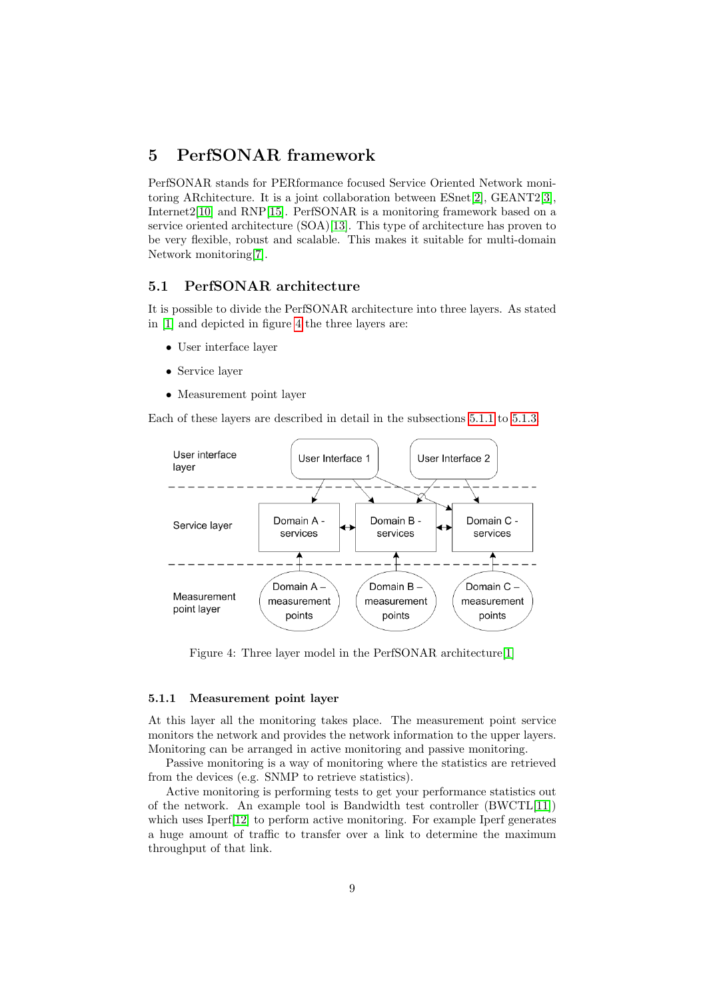# <span id="page-8-0"></span>5 PerfSONAR framework

PerfSONAR stands for PERformance focused Service Oriented Network monitoring ARchitecture. It is a joint collaboration between ESnet[\[2\]](#page-18-8), GEANT2[\[3\]](#page-18-9), Internet2[\[10\]](#page-18-10) and RNP[\[15\]](#page-18-11). PerfSONAR is a monitoring framework based on a service oriented architecture (SOA)[\[13\]](#page-18-12). This type of architecture has proven to be very flexible, robust and scalable. This makes it suitable for multi-domain Network monitoring[\[7\]](#page-18-4).

#### <span id="page-8-1"></span>5.1 PerfSONAR architecture

It is possible to divide the PerfSONAR architecture into three layers. As stated in [\[1\]](#page-18-1) and depicted in figure [4](#page-8-2) the three layers are:

- User interface layer
- Service layer
- Measurement point layer

Each of these layers are described in detail in the subsections [5.1.1](#page-8-3) to [5.1.3.](#page-9-1)



<span id="page-8-2"></span>Figure 4: Three layer model in the PerfSONAR architecture[\[1\]](#page-18-1)

#### <span id="page-8-3"></span>5.1.1 Measurement point layer

At this layer all the monitoring takes place. The measurement point service monitors the network and provides the network information to the upper layers. Monitoring can be arranged in active monitoring and passive monitoring.

Passive monitoring is a way of monitoring where the statistics are retrieved from the devices (e.g. SNMP to retrieve statistics).

Active monitoring is performing tests to get your performance statistics out of the network. An example tool is Bandwidth test controller (BWCTL[\[11\]](#page-18-13)) which uses Iperf<sup>[\[12\]](#page-18-14)</sup> to perform active monitoring. For example Iperf generates a huge amount of traffic to transfer over a link to determine the maximum throughput of that link.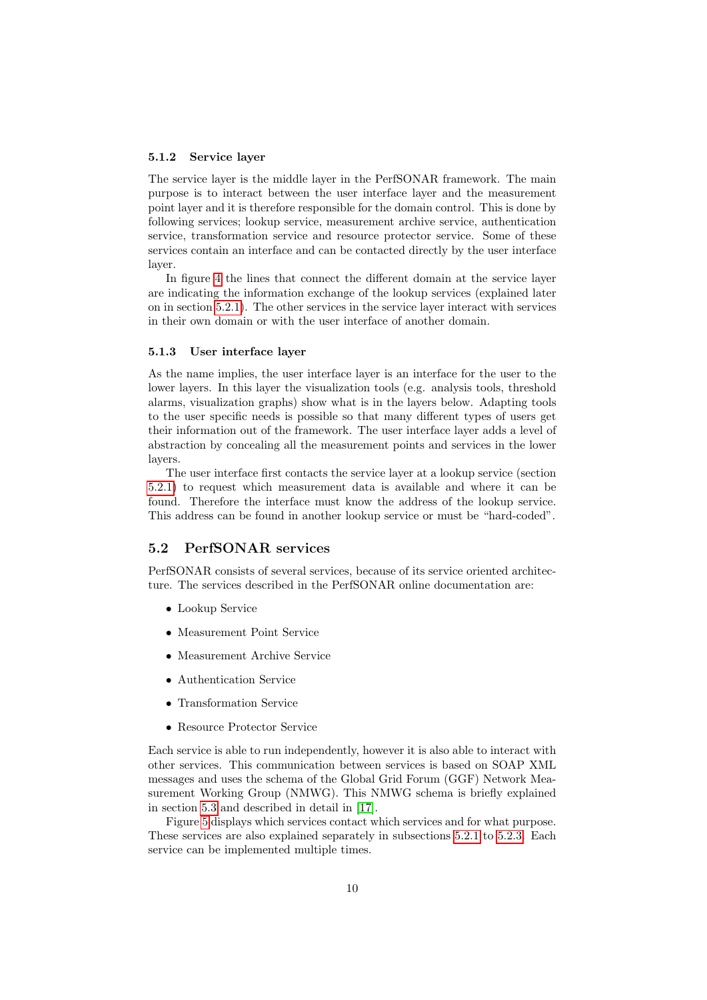#### 5.1.2 Service layer

The service layer is the middle layer in the PerfSONAR framework. The main purpose is to interact between the user interface layer and the measurement point layer and it is therefore responsible for the domain control. This is done by following services; lookup service, measurement archive service, authentication service, transformation service and resource protector service. Some of these services contain an interface and can be contacted directly by the user interface layer.

In figure [4](#page-8-2) the lines that connect the different domain at the service layer are indicating the information exchange of the lookup services (explained later on in section [5.2.1\)](#page-10-0). The other services in the service layer interact with services in their own domain or with the user interface of another domain.

#### <span id="page-9-1"></span>5.1.3 User interface layer

As the name implies, the user interface layer is an interface for the user to the lower layers. In this layer the visualization tools (e.g. analysis tools, threshold alarms, visualization graphs) show what is in the layers below. Adapting tools to the user specific needs is possible so that many different types of users get their information out of the framework. The user interface layer adds a level of abstraction by concealing all the measurement points and services in the lower layers.

The user interface first contacts the service layer at a lookup service (section [5.2.1\)](#page-10-0) to request which measurement data is available and where it can be found. Therefore the interface must know the address of the lookup service. This address can be found in another lookup service or must be "hard-coded".

### <span id="page-9-0"></span>5.2 PerfSONAR services

PerfSONAR consists of several services, because of its service oriented architecture. The services described in the PerfSONAR online documentation are:

- Lookup Service
- Measurement Point Service
- Measurement Archive Service
- Authentication Service
- Transformation Service
- Resource Protector Service

Each service is able to run independently, however it is also able to interact with other services. This communication between services is based on SOAP XML messages and uses the schema of the Global Grid Forum (GGF) Network Measurement Working Group (NMWG). This NMWG schema is briefly explained in section [5.3](#page-11-0) and described in detail in [\[17\]](#page-19-0).

Figure [5](#page-10-1) displays which services contact which services and for what purpose. These services are also explained separately in subsections [5.2.1](#page-10-0) to [5.2.3.](#page-11-1) Each service can be implemented multiple times.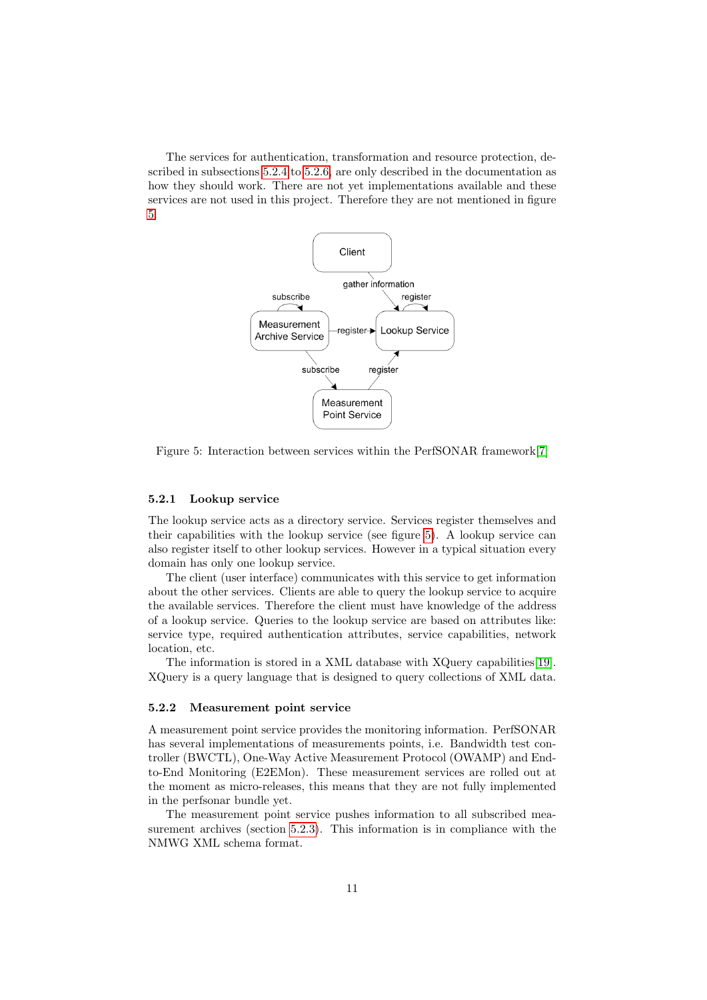The services for authentication, transformation and resource protection, described in subsections [5.2.4](#page-11-2) to [5.2.6,](#page-11-3) are only described in the documentation as how they should work. There are not yet implementations available and these services are not used in this project. Therefore they are not mentioned in figure [5.](#page-10-1)



<span id="page-10-1"></span>Figure 5: Interaction between services within the PerfSONAR framework[\[7\]](#page-18-4)

#### <span id="page-10-0"></span>5.2.1 Lookup service

The lookup service acts as a directory service. Services register themselves and their capabilities with the lookup service (see figure [5\)](#page-10-1). A lookup service can also register itself to other lookup services. However in a typical situation every domain has only one lookup service.

The client (user interface) communicates with this service to get information about the other services. Clients are able to query the lookup service to acquire the available services. Therefore the client must have knowledge of the address of a lookup service. Queries to the lookup service are based on attributes like: service type, required authentication attributes, service capabilities, network location, etc.

The information is stored in a XML database with XQuery capabilities[\[19\]](#page-19-1). XQuery is a query language that is designed to query collections of XML data.

#### 5.2.2 Measurement point service

A measurement point service provides the monitoring information. PerfSONAR has several implementations of measurements points, i.e. Bandwidth test controller (BWCTL), One-Way Active Measurement Protocol (OWAMP) and Endto-End Monitoring (E2EMon). These measurement services are rolled out at the moment as micro-releases, this means that they are not fully implemented in the perfsonar bundle yet.

The measurement point service pushes information to all subscribed measurement archives (section [5.2.3\)](#page-11-1). This information is in compliance with the NMWG XML schema format.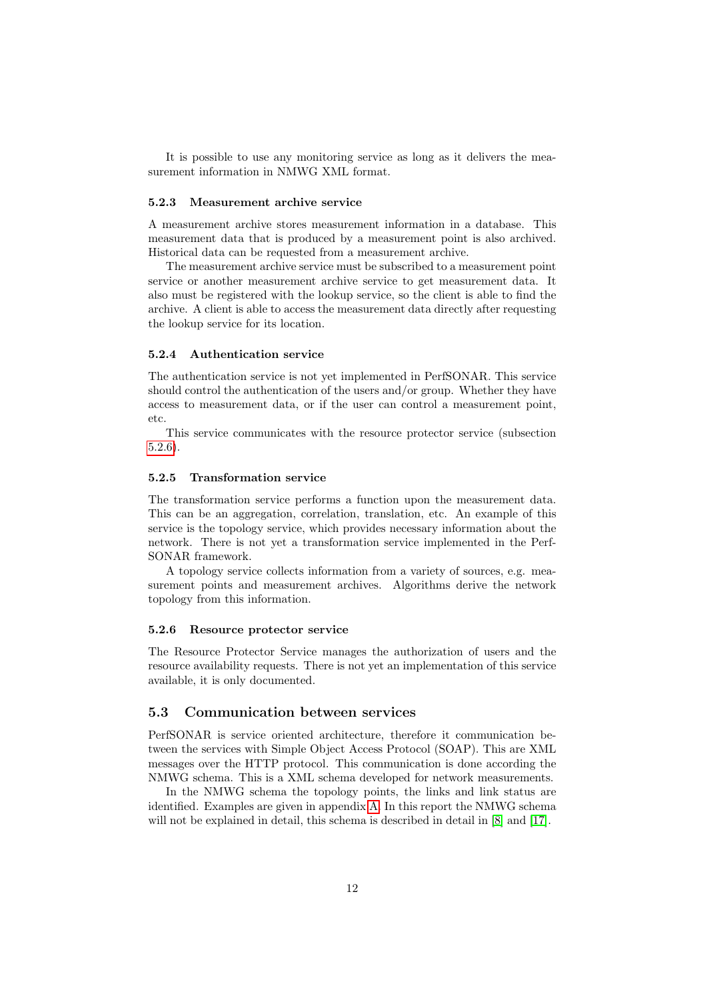It is possible to use any monitoring service as long as it delivers the measurement information in NMWG XML format.

#### <span id="page-11-1"></span>5.2.3 Measurement archive service

A measurement archive stores measurement information in a database. This measurement data that is produced by a measurement point is also archived. Historical data can be requested from a measurement archive.

The measurement archive service must be subscribed to a measurement point service or another measurement archive service to get measurement data. It also must be registered with the lookup service, so the client is able to find the archive. A client is able to access the measurement data directly after requesting the lookup service for its location.

#### <span id="page-11-2"></span>5.2.4 Authentication service

The authentication service is not yet implemented in PerfSONAR. This service should control the authentication of the users and/or group. Whether they have access to measurement data, or if the user can control a measurement point, etc.

This service communicates with the resource protector service (subsection [5.2.6\)](#page-11-3).

#### 5.2.5 Transformation service

The transformation service performs a function upon the measurement data. This can be an aggregation, correlation, translation, etc. An example of this service is the topology service, which provides necessary information about the network. There is not yet a transformation service implemented in the Perf-SONAR framework.

A topology service collects information from a variety of sources, e.g. measurement points and measurement archives. Algorithms derive the network topology from this information.

#### <span id="page-11-3"></span>5.2.6 Resource protector service

The Resource Protector Service manages the authorization of users and the resource availability requests. There is not yet an implementation of this service available, it is only documented.

#### <span id="page-11-0"></span>5.3 Communication between services

PerfSONAR is service oriented architecture, therefore it communication between the services with Simple Object Access Protocol (SOAP). This are XML messages over the HTTP protocol. This communication is done according the NMWG schema. This is a XML schema developed for network measurements.

In the NMWG schema the topology points, the links and link status are identified. Examples are given in appendix [A.](#page-20-0) In this report the NMWG schema will not be explained in detail, this schema is described in detail in [\[8\]](#page-18-15) and [\[17\]](#page-19-0).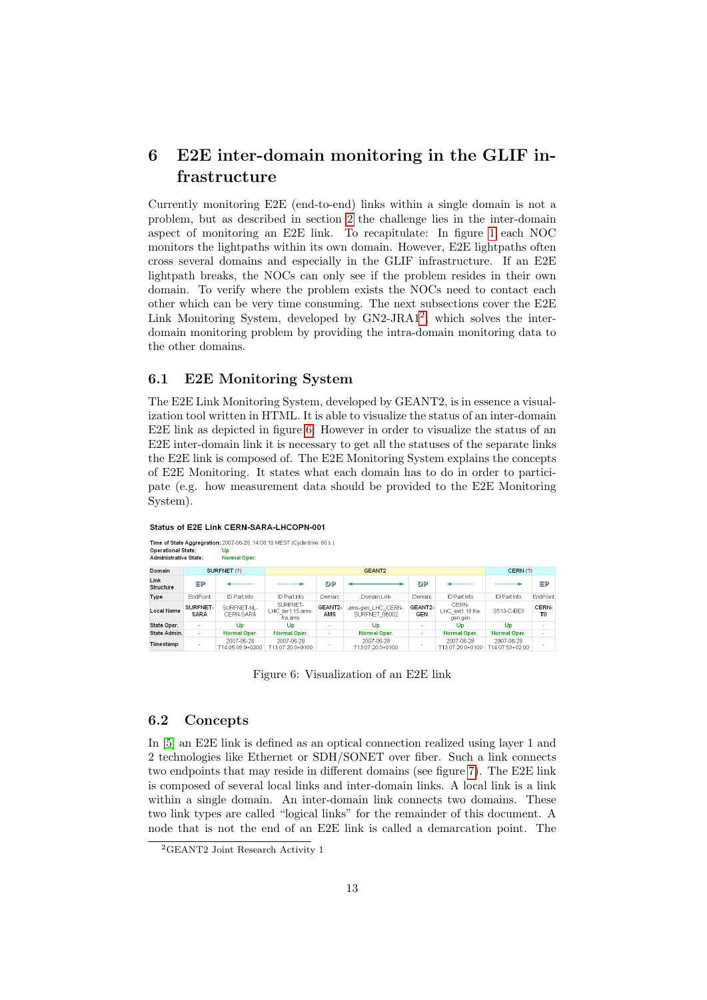# <span id="page-12-0"></span>6 E2E inter-domain monitoring in the GLIF infrastructure

Currently monitoring E2E (end-to-end) links within a single domain is not a problem, but as described in section [2](#page-3-0) the challenge lies in the inter-domain aspect of monitoring an E2E link. To recapitulate: In figure [1](#page-3-1) each NOC monitors the lightpaths within its own domain. However, E2E lightpaths often cross several domains and especially in the GLIF infrastructure. If an E2E lightpath breaks, the NOCs can only see if the problem resides in their own domain. To verify where the problem exists the NOCs need to contact each other which can be very time consuming. The next subsections cover the E2E Link Monitoring System, developed by GN[2](#page-12-3)-JRA1<sup>2</sup>, which solves the interdomain monitoring problem by providing the intra-domain monitoring data to the other domains.

#### <span id="page-12-1"></span>6.1 E2E Monitoring System

The E2E Link Monitoring System, developed by GEANT2, is in essence a visualization tool written in HTML. It is able to visualize the status of an inter-domain E2E link as depicted in figure [6.](#page-12-4) However in order to visualize the status of an E2E inter-domain link it is necessary to get all the statuses of the separate links the E2E link is composed of. The E2E Monitoring System explains the concepts of E2E Monitoring. It states what each domain has to do in order to participate (e.g. how measurement data should be provided to the E2E Monitoring System).

| Time of State Aggregration: 2007-06-28, 14:08:18 MEST (Cycle time: 60 s.)<br><b>Operational State:</b><br>Up<br>Administrative State:<br>Normal Oper. |                         |                                |                                         |                |                                    |                          |                                      |                               |                         |
|-------------------------------------------------------------------------------------------------------------------------------------------------------|-------------------------|--------------------------------|-----------------------------------------|----------------|------------------------------------|--------------------------|--------------------------------------|-------------------------------|-------------------------|
| Domain<br>SURFNET (?)                                                                                                                                 |                         | GEANT <sub>2</sub>             |                                         |                |                                    |                          | CERN(?)                              |                               |                         |
| Link<br>Structure                                                                                                                                     | ΞP                      | .                              | 1.1.1.1.1.1.1.1.1                       | DP.            |                                    | DP.                      | ------------                         |                               | ΞP                      |
| Type                                                                                                                                                  | EndPoint                | ID Part Info                   | ID Part Info                            | Demarc         | Domain Link                        | Demarc                   | ID Part.Info                         | ID Part.Info                  | EndPoint                |
| Local Name                                                                                                                                            | SURFNET-<br><b>SARA</b> | SURENET-NL-<br>CERN-SARA       | SURENET-<br>LHC ter1.15.ams-<br>fra.ams | GEANT2-<br>AMS | ams-gen_LHC_CERN-<br>SURFNET 06002 | GEANT2-<br><b>GEN</b>    | CERN-<br>LHC ext1.18.fra-<br>gen.gen | S513-C-BE3                    | CERN-<br>T <sub>0</sub> |
| State Oper.                                                                                                                                           |                         | Up                             | Up                                      | ٠              | <b>Up</b>                          | $\overline{\phantom{a}}$ | Up                                   | Up                            | ٠                       |
| State Admin.                                                                                                                                          | $\sim$                  | Normal Oper.                   | Normal Oper.                            | ٠              | Normal Oper.                       | ٠                        | Normal Oper.                         | Normal Oper.                  | ٠                       |
| Timestamp                                                                                                                                             |                         | 2007-06-28<br>T14:05:08.0+0200 | 2007-06-28<br>T13:07:20.0+0100          |                | 2007-06-28<br>T13:07:20.0+0100     |                          | 2007-06-28<br>T13:07:20.0+0100       | 2007-06-28<br>T14:07:53+02:00 |                         |

Status of E2E Link CERN-SARA-LHCOPN-001

<span id="page-12-4"></span>Figure 6: Visualization of an E2E link

### <span id="page-12-2"></span>6.2 Concepts

In [\[5\]](#page-18-2) an E2E link is defined as an optical connection realized using layer 1 and 2 technologies like Ethernet or SDH/SONET over fiber. Such a link connects two endpoints that may reside in different domains (see figure [7\)](#page-13-0). The E2E link is composed of several local links and inter-domain links. A local link is a link within a single domain. An inter-domain link connects two domains. These two link types are called "logical links" for the remainder of this document. A node that is not the end of an E2E link is called a demarcation point. The

<span id="page-12-3"></span><sup>2</sup>GEANT2 Joint Research Activity 1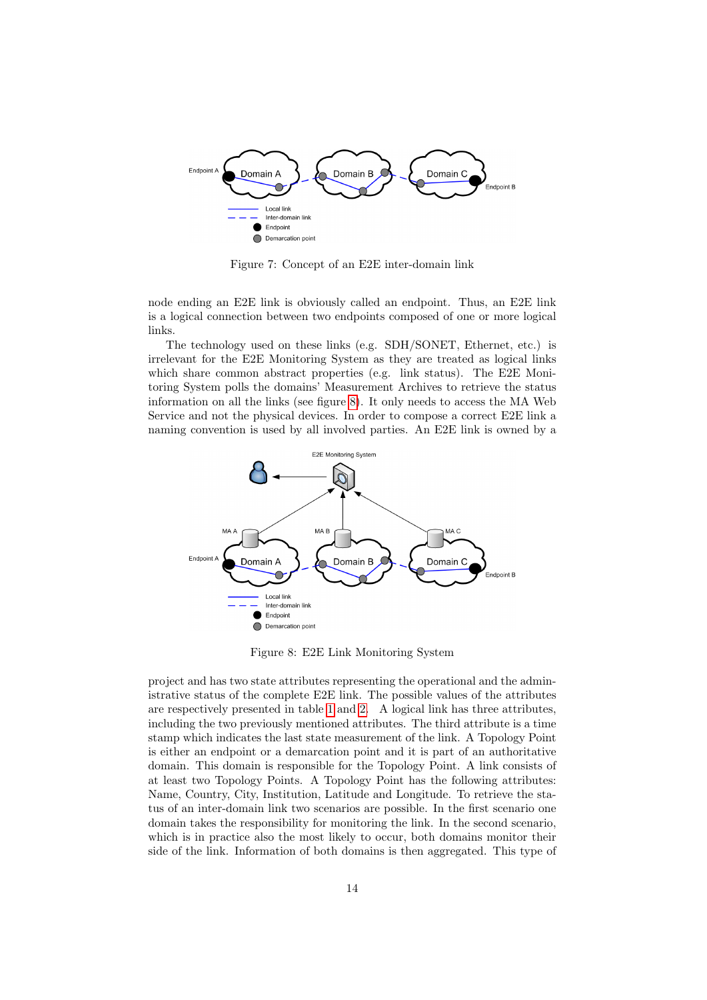

<span id="page-13-0"></span>Figure 7: Concept of an E2E inter-domain link

node ending an E2E link is obviously called an endpoint. Thus, an E2E link is a logical connection between two endpoints composed of one or more logical links.

The technology used on these links (e.g. SDH/SONET, Ethernet, etc.) is irrelevant for the E2E Monitoring System as they are treated as logical links which share common abstract properties (e.g. link status). The E2E Monitoring System polls the domains' Measurement Archives to retrieve the status information on all the links (see figure [8\)](#page-13-1). It only needs to access the MA Web Service and not the physical devices. In order to compose a correct E2E link a naming convention is used by all involved parties. An E2E link is owned by a



<span id="page-13-1"></span>Figure 8: E2E Link Monitoring System

project and has two state attributes representing the operational and the administrative status of the complete E2E link. The possible values of the attributes are respectively presented in table [1](#page-14-0) and [2.](#page-14-1) A logical link has three attributes, including the two previously mentioned attributes. The third attribute is a time stamp which indicates the last state measurement of the link. A Topology Point is either an endpoint or a demarcation point and it is part of an authoritative domain. This domain is responsible for the Topology Point. A link consists of at least two Topology Points. A Topology Point has the following attributes: Name, Country, City, Institution, Latitude and Longitude. To retrieve the status of an inter-domain link two scenarios are possible. In the first scenario one domain takes the responsibility for monitoring the link. In the second scenario, which is in practice also the most likely to occur, both domains monitor their side of the link. Information of both domains is then aggregated. This type of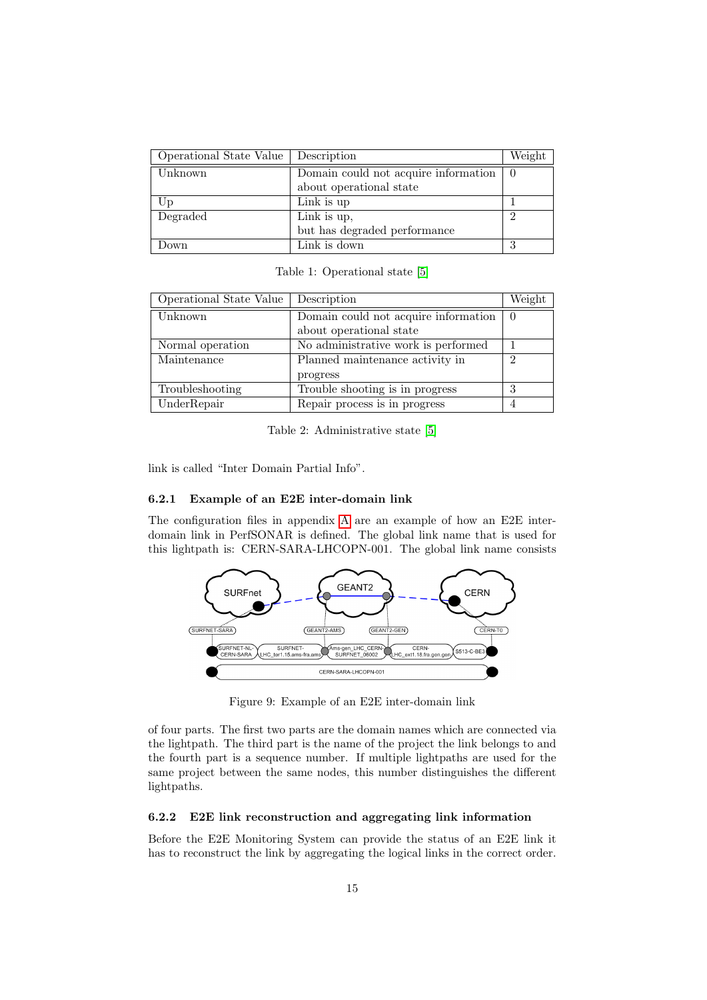| Operational State Value   Description |                                      | Weight |
|---------------------------------------|--------------------------------------|--------|
| Unknown                               | Domain could not acquire information |        |
|                                       | about operational state              |        |
| Up                                    | Link is up                           |        |
| Degraded                              | Link is up,                          | ∩      |
|                                       | but has degraded performance         |        |
| Down                                  | Link is down                         | ച      |

<span id="page-14-0"></span>Table 1: Operational state [\[5\]](#page-18-2)

| Operational State Value | Description                          | Weight |
|-------------------------|--------------------------------------|--------|
| Unknown                 | Domain could not acquire information |        |
|                         | about operational state              |        |
| Normal operation        | No administrative work is performed  |        |
| Maintenance             | Planned maintenance activity in      | റ      |
|                         | progress                             |        |
| Troubleshooting         | Trouble shooting is in progress      | 3      |
| UnderRepair             | Repair process is in progress        |        |

<span id="page-14-1"></span>Table 2: Administrative state [\[5\]](#page-18-2)

link is called "Inter Domain Partial Info".

#### 6.2.1 Example of an E2E inter-domain link

The configuration files in appendix [A](#page-20-0) are an example of how an E2E interdomain link in PerfSONAR is defined. The global link name that is used for this lightpath is: CERN-SARA-LHCOPN-001. The global link name consists



Figure 9: Example of an E2E inter-domain link

of four parts. The first two parts are the domain names which are connected via the lightpath. The third part is the name of the project the link belongs to and the fourth part is a sequence number. If multiple lightpaths are used for the same project between the same nodes, this number distinguishes the different lightpaths.

#### 6.2.2 E2E link reconstruction and aggregating link information

Before the E2E Monitoring System can provide the status of an E2E link it has to reconstruct the link by aggregating the logical links in the correct order.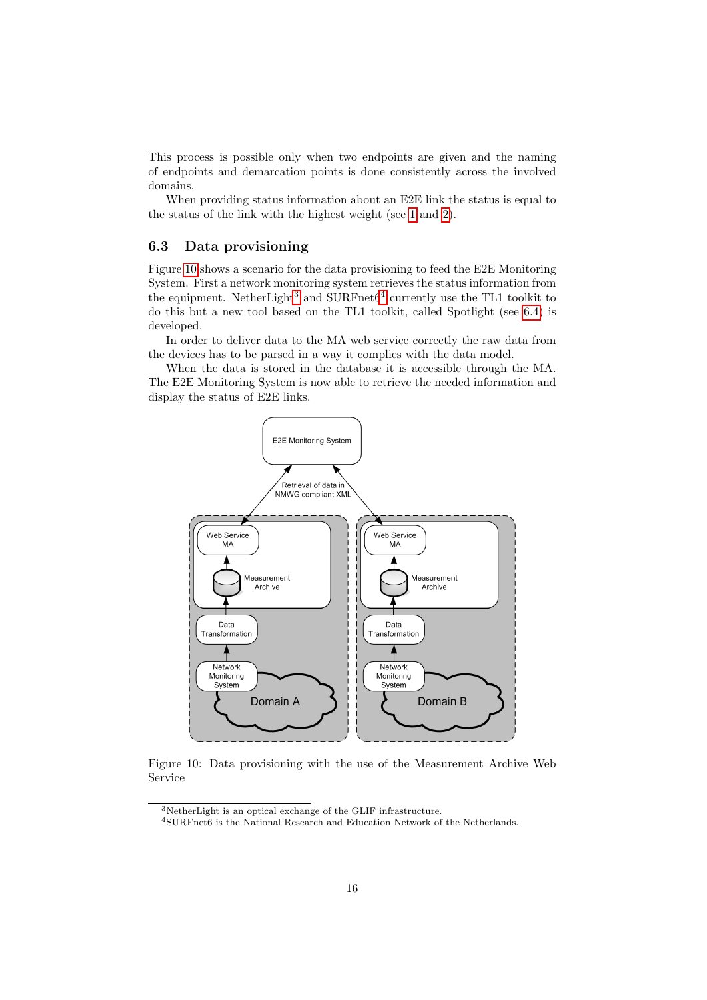This process is possible only when two endpoints are given and the naming of endpoints and demarcation points is done consistently across the involved domains.

When providing status information about an E2E link the status is equal to the status of the link with the highest weight (see [1](#page-14-0) and [2\)](#page-14-1).

### <span id="page-15-0"></span>6.3 Data provisioning

Figure [10](#page-15-1) shows a scenario for the data provisioning to feed the E2E Monitoring System. First a network monitoring system retrieves the status information from the equipment. NetherLight<sup>[3](#page-15-2)</sup> and SURFnet $6^4$  $6^4$  currently use the TL1 toolkit to do this but a new tool based on the TL1 toolkit, called Spotlight (see [6.4\)](#page-16-0) is developed.

In order to deliver data to the MA web service correctly the raw data from the devices has to be parsed in a way it complies with the data model.

When the data is stored in the database it is accessible through the MA. The E2E Monitoring System is now able to retrieve the needed information and display the status of E2E links.



<span id="page-15-1"></span>Figure 10: Data provisioning with the use of the Measurement Archive Web Service

<span id="page-15-2"></span> $^3\rm{NetherLight}$  is an optical exchange of the GLIF infrastructure.

<span id="page-15-3"></span><sup>4</sup>SURFnet6 is the National Research and Education Network of the Netherlands.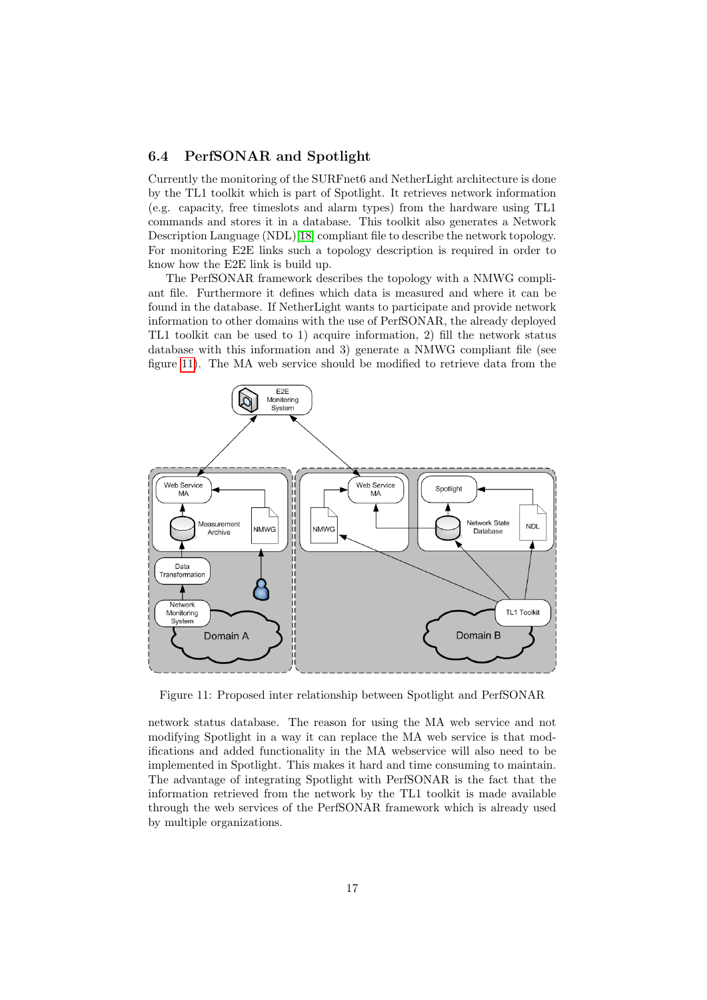### <span id="page-16-0"></span>6.4 PerfSONAR and Spotlight

Currently the monitoring of the SURFnet6 and NetherLight architecture is done by the TL1 toolkit which is part of Spotlight. It retrieves network information (e.g. capacity, free timeslots and alarm types) from the hardware using TL1 commands and stores it in a database. This toolkit also generates a Network Description Language (NDL)[\[18\]](#page-19-2) compliant file to describe the network topology. For monitoring E2E links such a topology description is required in order to know how the E2E link is build up.

The PerfSONAR framework describes the topology with a NMWG compliant file. Furthermore it defines which data is measured and where it can be found in the database. If NetherLight wants to participate and provide network information to other domains with the use of PerfSONAR, the already deployed TL1 toolkit can be used to 1) acquire information, 2) fill the network status database with this information and 3) generate a NMWG compliant file (see figure [11\)](#page-16-1). The MA web service should be modified to retrieve data from the



<span id="page-16-1"></span>Figure 11: Proposed inter relationship between Spotlight and PerfSONAR

network status database. The reason for using the MA web service and not modifying Spotlight in a way it can replace the MA web service is that modifications and added functionality in the MA webservice will also need to be implemented in Spotlight. This makes it hard and time consuming to maintain. The advantage of integrating Spotlight with PerfSONAR is the fact that the information retrieved from the network by the TL1 toolkit is made available through the web services of the PerfSONAR framework which is already used by multiple organizations.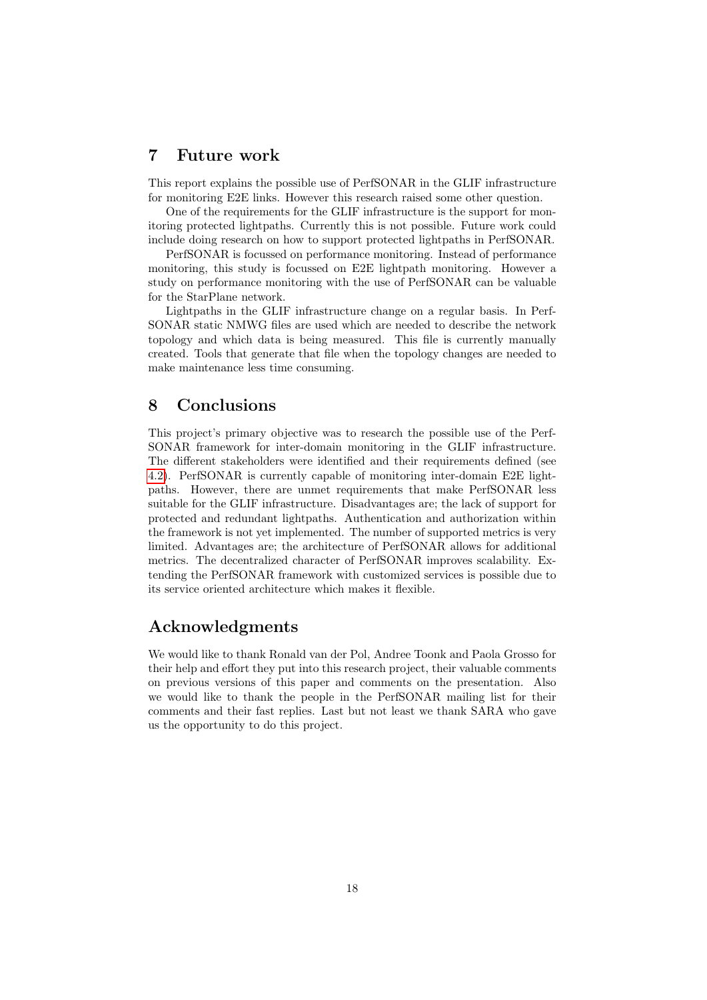# <span id="page-17-0"></span>7 Future work

This report explains the possible use of PerfSONAR in the GLIF infrastructure for monitoring E2E links. However this research raised some other question.

One of the requirements for the GLIF infrastructure is the support for monitoring protected lightpaths. Currently this is not possible. Future work could include doing research on how to support protected lightpaths in PerfSONAR.

PerfSONAR is focussed on performance monitoring. Instead of performance monitoring, this study is focussed on E2E lightpath monitoring. However a study on performance monitoring with the use of PerfSONAR can be valuable for the StarPlane network.

Lightpaths in the GLIF infrastructure change on a regular basis. In Perf-SONAR static NMWG files are used which are needed to describe the network topology and which data is being measured. This file is currently manually created. Tools that generate that file when the topology changes are needed to make maintenance less time consuming.

## <span id="page-17-1"></span>8 Conclusions

This project's primary objective was to research the possible use of the Perf-SONAR framework for inter-domain monitoring in the GLIF infrastructure. The different stakeholders were identified and their requirements defined (see [4.2\)](#page-5-2). PerfSONAR is currently capable of monitoring inter-domain E2E lightpaths. However, there are unmet requirements that make PerfSONAR less suitable for the GLIF infrastructure. Disadvantages are; the lack of support for protected and redundant lightpaths. Authentication and authorization within the framework is not yet implemented. The number of supported metrics is very limited. Advantages are; the architecture of PerfSONAR allows for additional metrics. The decentralized character of PerfSONAR improves scalability. Extending the PerfSONAR framework with customized services is possible due to its service oriented architecture which makes it flexible.

## Acknowledgments

<span id="page-17-2"></span>We would like to thank Ronald van der Pol, Andree Toonk and Paola Grosso for their help and effort they put into this research project, their valuable comments on previous versions of this paper and comments on the presentation. Also we would like to thank the people in the PerfSONAR mailing list for their comments and their fast replies. Last but not least we thank SARA who gave us the opportunity to do this project.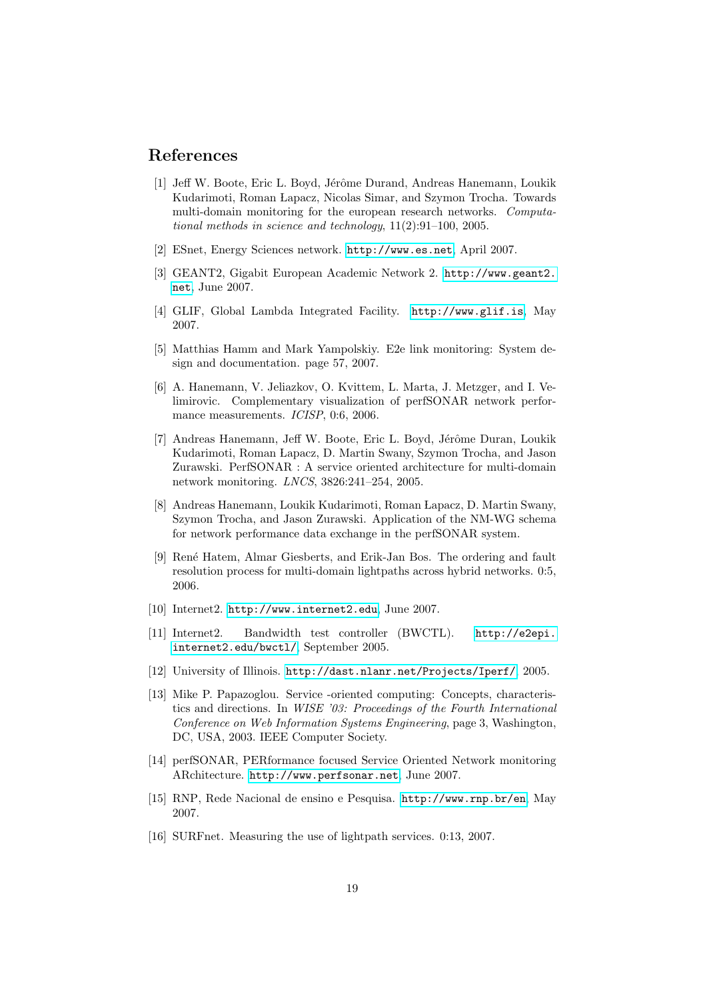# References

- <span id="page-18-1"></span>[1] Jeff W. Boote, Eric L. Boyd, Jérôme Durand, Andreas Hanemann, Loukik Kudarimoti, Roman Lapacz, Nicolas Simar, and Szymon Trocha. Towards multi-domain monitoring for the european research networks. Computational methods in science and technology, 11(2):91–100, 2005.
- <span id="page-18-8"></span>[2] ESnet, Energy Sciences network. <http://www.es.net>, April 2007.
- <span id="page-18-9"></span>[3] GEANT2, Gigabit European Academic Network 2. [http://www.geant2.](http://www.geant2.net) [net](http://www.geant2.net), June 2007.
- <span id="page-18-5"></span>[4] GLIF, Global Lambda Integrated Facility. <http://www.glif.is>, May 2007.
- <span id="page-18-2"></span>[5] Matthias Hamm and Mark Yampolskiy. E2e link monitoring: System design and documentation. page 57, 2007.
- <span id="page-18-3"></span>[6] A. Hanemann, V. Jeliazkov, O. Kvittem, L. Marta, J. Metzger, and I. Velimirovic. Complementary visualization of perfSONAR network performance measurements. *ICISP*, 0:6, 2006.
- <span id="page-18-4"></span>[7] Andreas Hanemann, Jeff W. Boote, Eric L. Boyd, Jérôme Duran, Loukik Kudarimoti, Roman Lapacz, D. Martin Swany, Szymon Trocha, and Jason Zurawski. PerfSONAR : A service oriented architecture for multi-domain network monitoring. LNCS, 3826:241–254, 2005.
- <span id="page-18-15"></span>[8] Andreas Hanemann, Loukik Kudarimoti, Roman Lapacz, D. Martin Swany, Szymon Trocha, and Jason Zurawski. Application of the NM-WG schema for network performance data exchange in the perfSONAR system.
- <span id="page-18-7"></span>[9] Ren´e Hatem, Almar Giesberts, and Erik-Jan Bos. The ordering and fault resolution process for multi-domain lightpaths across hybrid networks. 0:5, 2006.
- <span id="page-18-10"></span>[10] Internet2. <http://www.internet2.edu>, June 2007.
- <span id="page-18-13"></span>[11] Internet2. Bandwidth test controller (BWCTL). [http://e2epi.](http://e2epi.internet2.edu/bwctl/) [internet2.edu/bwctl/](http://e2epi.internet2.edu/bwctl/), September 2005.
- <span id="page-18-14"></span>[12] University of Illinois. <http://dast.nlanr.net/Projects/Iperf/>, 2005.
- <span id="page-18-12"></span>[13] Mike P. Papazoglou. Service -oriented computing: Concepts, characteristics and directions. In WISE '03: Proceedings of the Fourth International Conference on Web Information Systems Engineering, page 3, Washington, DC, USA, 2003. IEEE Computer Society.
- <span id="page-18-0"></span>[14] perfSONAR, PERformance focused Service Oriented Network monitoring ARchitecture. <http://www.perfsonar.net>, June 2007.
- <span id="page-18-11"></span>[15] RNP, Rede Nacional de ensino e Pesquisa. <http://www.rnp.br/en>, May 2007.
- <span id="page-18-6"></span>[16] SURFnet. Measuring the use of lightpath services. 0:13, 2007.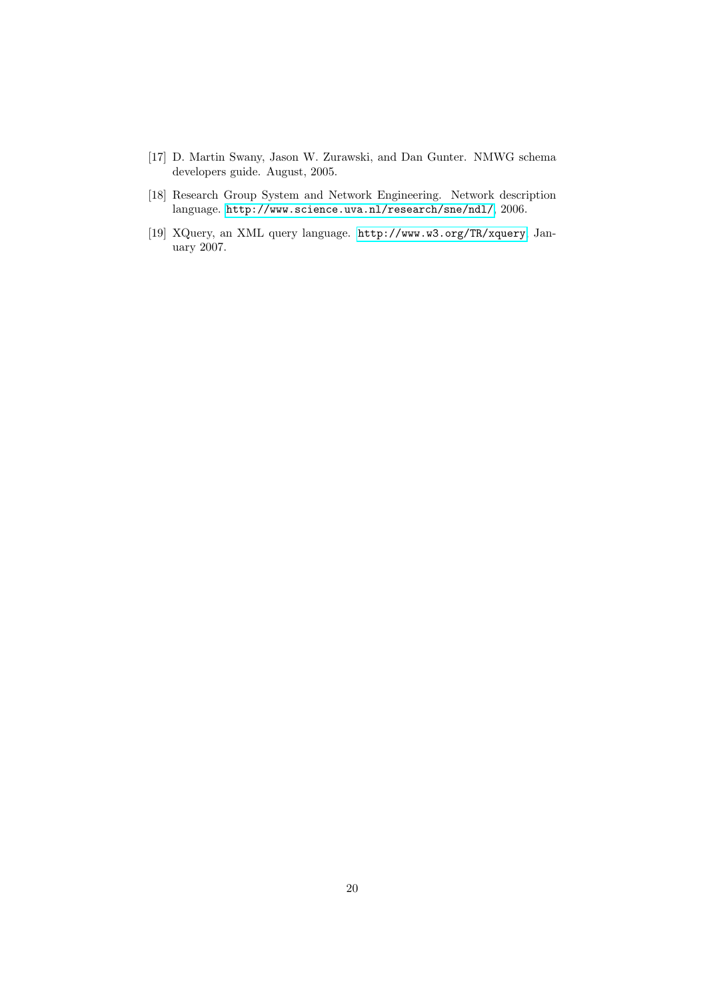- <span id="page-19-0"></span>[17] D. Martin Swany, Jason W. Zurawski, and Dan Gunter. NMWG schema developers guide. August, 2005.
- <span id="page-19-2"></span>[18] Research Group System and Network Engineering. Network description language. <http://www.science.uva.nl/research/sne/ndl/>, 2006.
- <span id="page-19-1"></span>[19] XQuery, an XML query language. <http://www.w3.org/TR/xquery>, January 2007.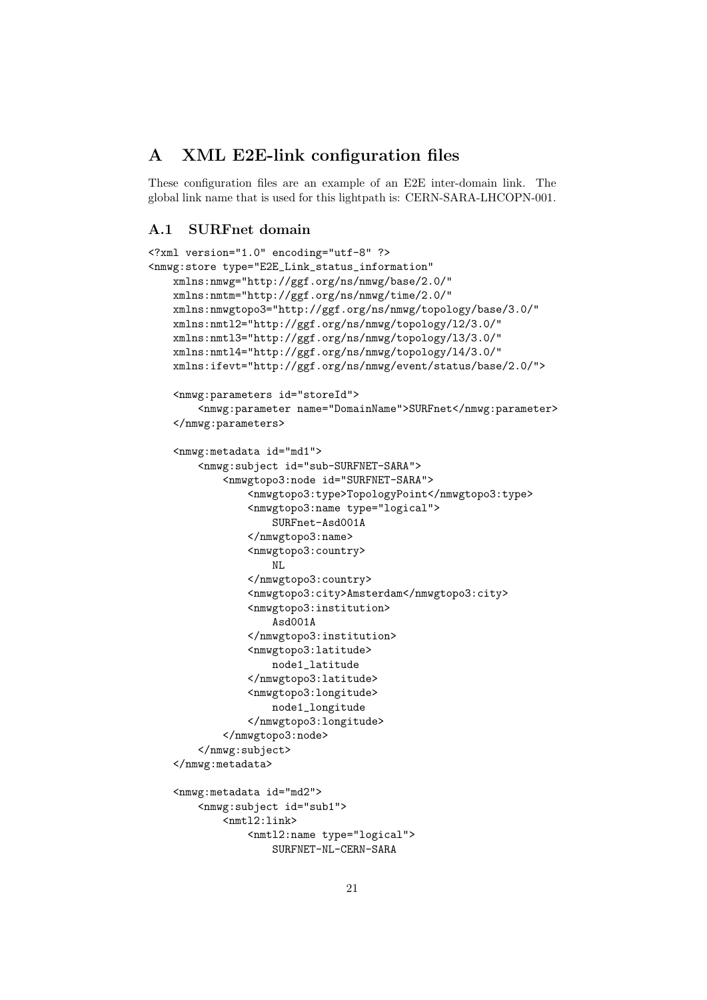# <span id="page-20-0"></span>A XML E2E-link configuration files

These configuration files are an example of an E2E inter-domain link. The global link name that is used for this lightpath is: CERN-SARA-LHCOPN-001.

### <span id="page-20-1"></span>A.1 SURFnet domain

```
<?xml version="1.0" encoding="utf-8" ?>
<nmwg:store type="E2E_Link_status_information"
   xmlns:nmwg="http://ggf.org/ns/nmwg/base/2.0/"
   xmlns:nmtm="http://ggf.org/ns/nmwg/time/2.0/"
   xmlns:nmwgtopo3="http://ggf.org/ns/nmwg/topology/base/3.0/"
   xmlns:nmtl2="http://ggf.org/ns/nmwg/topology/l2/3.0/"
   xmlns:nmtl3="http://ggf.org/ns/nmwg/topology/l3/3.0/"
   xmlns:nmtl4="http://ggf.org/ns/nmwg/topology/l4/3.0/"
   xmlns:ifevt="http://ggf.org/ns/nmwg/event/status/base/2.0/">
   <nmwg:parameters id="storeId">
        <nmwg:parameter name="DomainName">SURFnet</nmwg:parameter>
   </nmwg:parameters>
   <nmwg:metadata id="md1">
        <nmwg:subject id="sub-SURFNET-SARA">
            <nmwgtopo3:node id="SURFNET-SARA">
                <nmwgtopo3:type>TopologyPoint</nmwgtopo3:type>
                <nmwgtopo3:name type="logical">
                    SURFnet-Asd001A
                </nmwgtopo3:name>
                <nmwgtopo3:country>
                    NL
                </nmwgtopo3:country>
                <nmwgtopo3:city>Amsterdam</nmwgtopo3:city>
                <nmwgtopo3:institution>
                    Asd001A
                </nmwgtopo3:institution>
                <nmwgtopo3:latitude>
                    node1_latitude
                </nmwgtopo3:latitude>
                <nmwgtopo3:longitude>
                    node1_longitude
                </nmwgtopo3:longitude>
            </nmwgtopo3:node>
        </nmwg:subject>
   </nmwg:metadata>
   <nmwg:metadata id="md2">
        <nmwg:subject id="sub1">
            <nmtl2:link>
                <nmtl2:name type="logical">
                    SURFNET-NL-CERN-SARA
```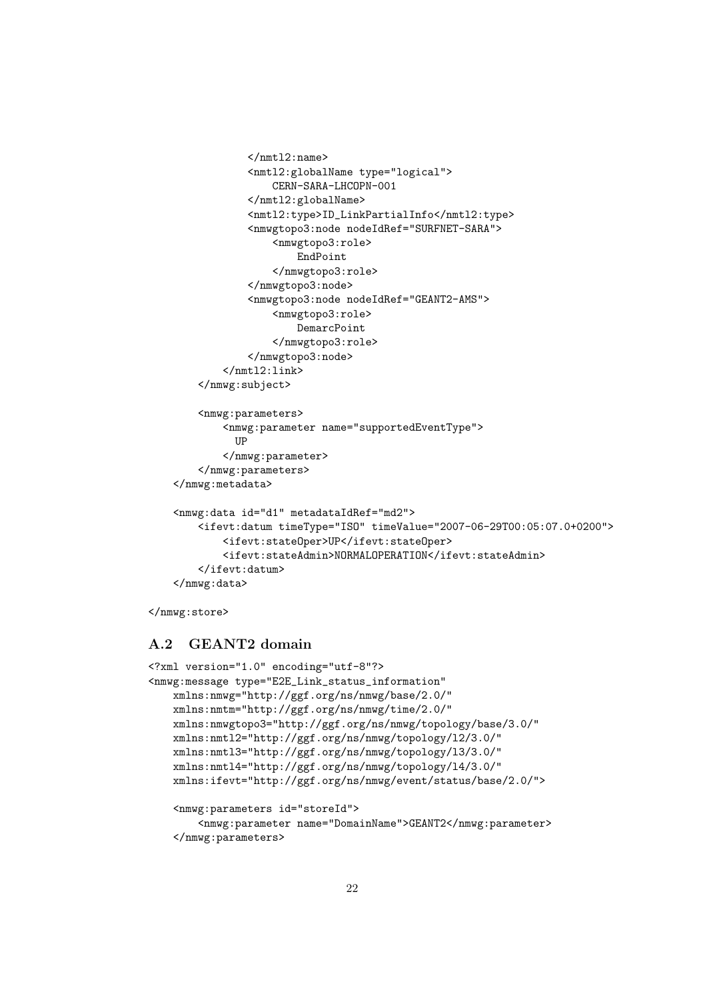```
</nmtl2:name>
            <nmtl2:globalName type="logical">
                CERN-SARA-LHCOPN-001
            </nmtl2:globalName>
            <nmtl2:type>ID_LinkPartialInfo</nmtl2:type>
            <nmwgtopo3:node nodeIdRef="SURFNET-SARA">
                <nmwgtopo3:role>
                    EndPoint
                </nmwgtopo3:role>
            </nmwgtopo3:node>
            <nmwgtopo3:node nodeIdRef="GEANT2-AMS">
                <nmwgtopo3:role>
                    DemarcPoint
                </nmwgtopo3:role>
            </nmwgtopo3:node>
        \langle/nmtl2:link>
    </nmwg:subject>
    <nmwg:parameters>
        <nmwg:parameter name="supportedEventType">
         IID
        </nmwg:parameter>
    </nmwg:parameters>
</nmwg:metadata>
<nmwg:data id="d1" metadataIdRef="md2">
    <ifevt:datum timeType="ISO" timeValue="2007-06-29T00:05:07.0+0200">
        <ifevt:stateOper>UP</ifevt:stateOper>
        <ifevt:stateAdmin>NORMALOPERATION</ifevt:stateAdmin>
    </ifevt:datum>
</nmwg:data>
```

```
</nmwg:store>
```
## <span id="page-21-0"></span>A.2 GEANT2 domain

```
<?xml version="1.0" encoding="utf-8"?>
<nmwg:message type="E2E_Link_status_information"
   xmlns:nmwg="http://ggf.org/ns/nmwg/base/2.0/"
   xmlns:nmtm="http://ggf.org/ns/nmwg/time/2.0/"
   xmlns:nmwgtopo3="http://ggf.org/ns/nmwg/topology/base/3.0/"
   xmlns:nmtl2="http://ggf.org/ns/nmwg/topology/l2/3.0/"
   xmlns:nmtl3="http://ggf.org/ns/nmwg/topology/l3/3.0/"
   xmlns:nmtl4="http://ggf.org/ns/nmwg/topology/l4/3.0/"
   xmlns:ifevt="http://ggf.org/ns/nmwg/event/status/base/2.0/">
   <nmwg:parameters id="storeId">
```

```
<nmwg:parameter name="DomainName">GEANT2</nmwg:parameter>
</nmwg:parameters>
```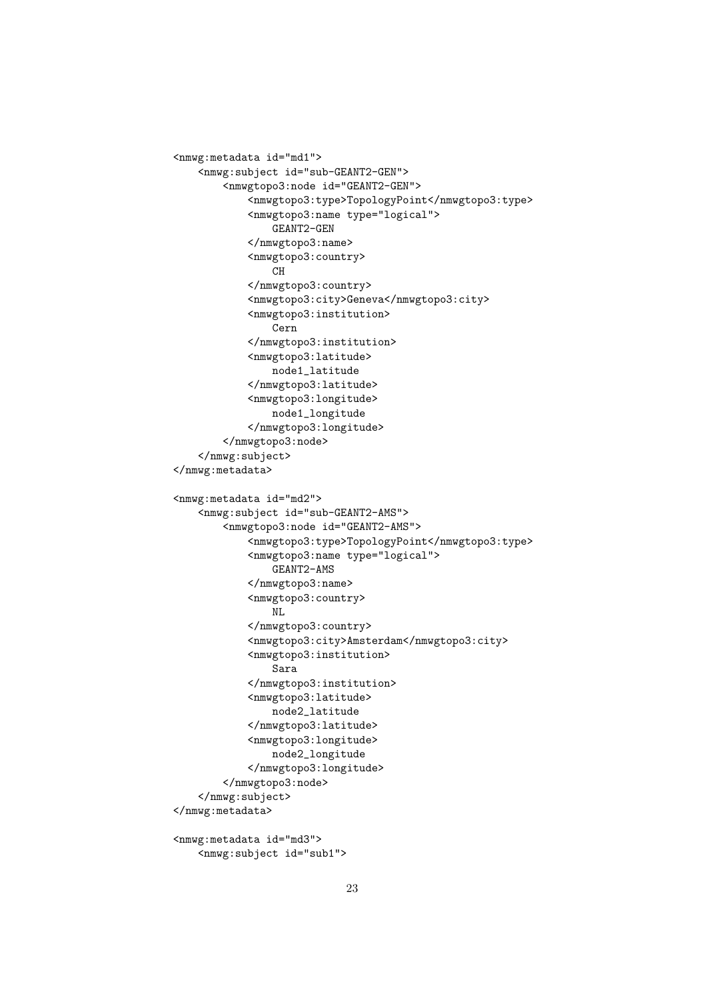```
<nmwg:metadata id="md1">
   <nmwg:subject id="sub-GEANT2-GEN">
        <nmwgtopo3:node id="GEANT2-GEN">
            <nmwgtopo3:type>TopologyPoint</nmwgtopo3:type>
            <nmwgtopo3:name type="logical">
                GEANT2-GEN
            </nmwgtopo3:name>
            <nmwgtopo3:country>
                CH
            </nmwgtopo3:country>
            <nmwgtopo3:city>Geneva</nmwgtopo3:city>
            <nmwgtopo3:institution>
                Cern
            </nmwgtopo3:institution>
            <nmwgtopo3:latitude>
                node1_latitude
            </nmwgtopo3:latitude>
            <nmwgtopo3:longitude>
                node1_longitude
            </nmwgtopo3:longitude>
        </nmwgtopo3:node>
    </nmwg:subject>
</nmwg:metadata>
<nmwg:metadata id="md2">
   <nmwg:subject id="sub-GEANT2-AMS">
        <nmwgtopo3:node id="GEANT2-AMS">
            <nmwgtopo3:type>TopologyPoint</nmwgtopo3:type>
            <nmwgtopo3:name type="logical">
                GEANT2-AMS
            </nmwgtopo3:name>
            <nmwgtopo3:country>
                NI.
            </nmwgtopo3:country>
            <nmwgtopo3:city>Amsterdam</nmwgtopo3:city>
            <nmwgtopo3:institution>
                Sara
            </nmwgtopo3:institution>
            <nmwgtopo3:latitude>
                node2_latitude
            </nmwgtopo3:latitude>
            <nmwgtopo3:longitude>
                node2_longitude
            </nmwgtopo3:longitude>
        </nmwgtopo3:node>
    </nmwg:subject>
</nmwg:metadata>
<nmwg:metadata id="md3">
```

```
<nmwg:subject id="sub1">
```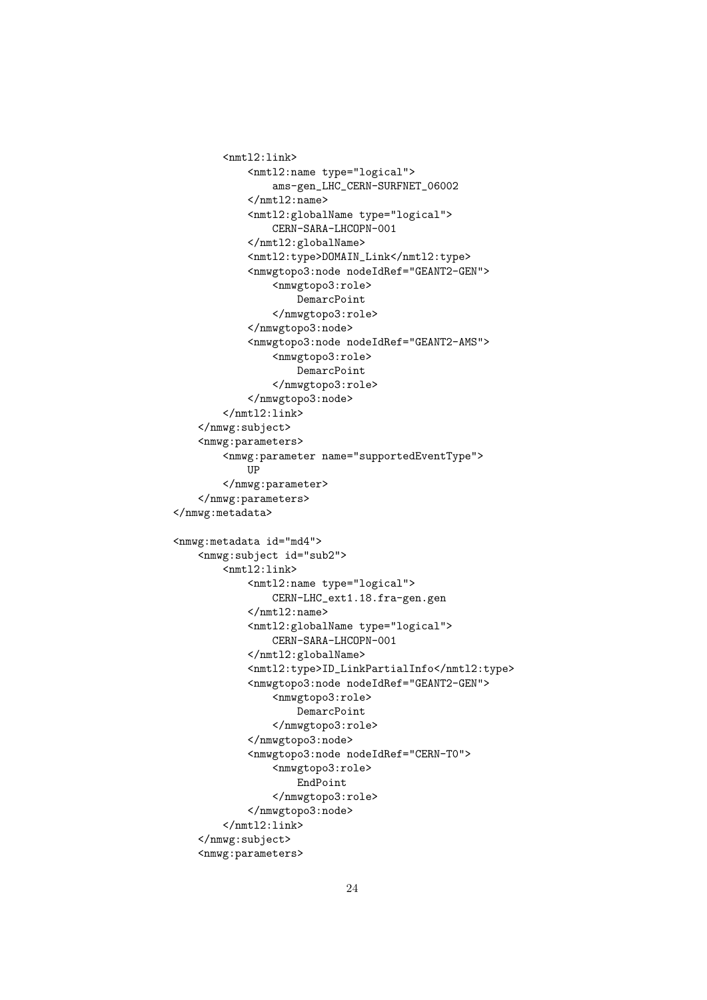```
<nmtl2:link>
            <nmtl2:name type="logical">
                ams-gen_LHC_CERN-SURFNET_06002
            </nmtl2:name>
            <nmtl2:globalName type="logical">
                CERN-SARA-LHCOPN-001
            </nmtl2:globalName>
            <nmtl2:type>DOMAIN_Link</nmtl2:type>
            <nmwgtopo3:node nodeIdRef="GEANT2-GEN">
                <nmwgtopo3:role>
                    DemarcPoint
                </nmwgtopo3:role>
            </nmwgtopo3:node>
            <nmwgtopo3:node nodeIdRef="GEANT2-AMS">
                <nmwgtopo3:role>
                    DemarcPoint
                </nmwgtopo3:role>
            </nmwgtopo3:node>
        \frac{1}{2}:link>
    </nmwg:subject>
    <nmwg:parameters>
        <nmwg:parameter name="supportedEventType">
            UP
        </nmwg:parameter>
    </nmwg:parameters>
</nmwg:metadata>
<nmwg:metadata id="md4">
    <nmwg:subject id="sub2">
        <nmtl2:link>
            <nmtl2:name type="logical">
                CERN-LHC_ext1.18.fra-gen.gen
            \frac{2}{\text{mtl2:name}}<nmtl2:globalName type="logical">
                CERN-SARA-LHCOPN-001
            </nmtl2:globalName>
            <nmtl2:type>ID_LinkPartialInfo</nmtl2:type>
            <nmwgtopo3:node nodeIdRef="GEANT2-GEN">
                <nmwgtopo3:role>
                    DemarcPoint
                </nmwgtopo3:role>
            </nmwgtopo3:node>
            <nmwgtopo3:node nodeIdRef="CERN-T0">
                <nmwgtopo3:role>
                    EndPoint
                </nmwgtopo3:role>
            </nmwgtopo3:node>
        \frac{2}{\text{mtl2:link}}</nmwg:subject>
    <nmwg:parameters>
```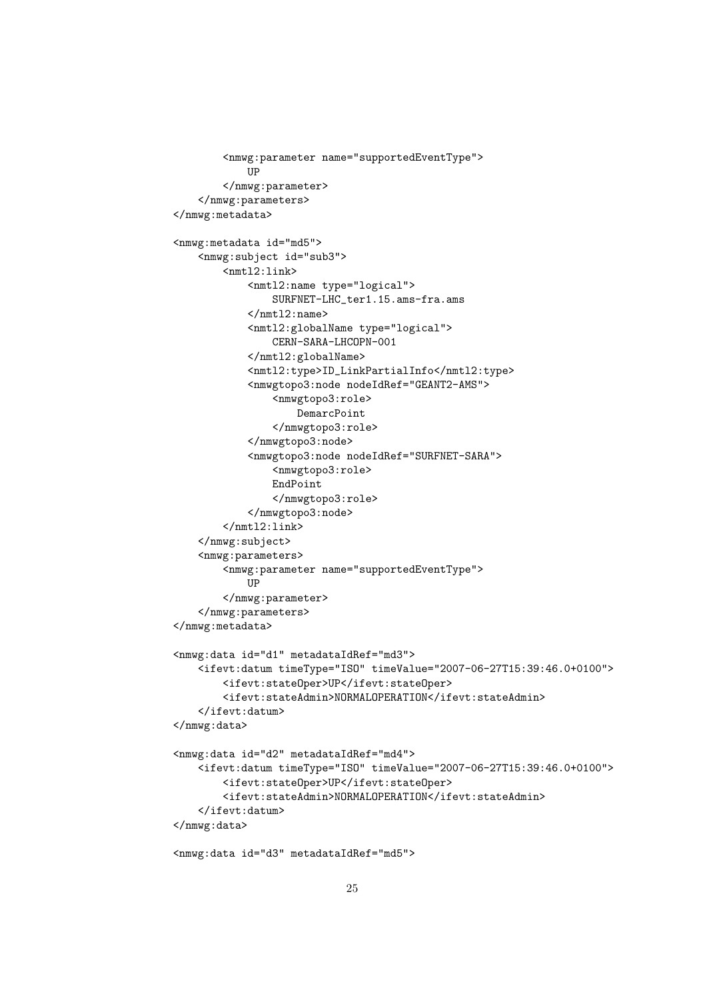```
<nmwg:parameter name="supportedEventType">
            IIP
        </nmwg:parameter>
    </nmwg:parameters>
</nmwg:metadata>
<nmwg:metadata id="md5">
    <nmwg:subject id="sub3">
        <nmtl2:link>
            <nmtl2:name type="logical">
                SURFNET-LHC_ter1.15.ams-fra.ams
            </nmtl2:name>
            <nmtl2:globalName type="logical">
                CERN-SARA-LHCOPN-001
            </nmtl2:globalName>
            <nmtl2:type>ID_LinkPartialInfo</nmtl2:type>
            <nmwgtopo3:node nodeIdRef="GEANT2-AMS">
                <nmwgtopo3:role>
                    DemarcPoint
                </nmwgtopo3:role>
            </nmwgtopo3:node>
            <nmwgtopo3:node nodeIdRef="SURFNET-SARA">
                <nmwgtopo3:role>
                EndPoint
                </nmwgtopo3:role>
            </nmwgtopo3:node>
        \frac{2}{\text{mtl2:link}}</nmwg:subject>
    <nmwg:parameters>
        <nmwg:parameter name="supportedEventType">
            IIP
        </nmwg:parameter>
    </nmwg:parameters>
</nmwg:metadata>
<nmwg:data id="d1" metadataIdRef="md3">
    <ifevt:datum timeType="ISO" timeValue="2007-06-27T15:39:46.0+0100">
        <ifevt:stateOper>UP</ifevt:stateOper>
        <ifevt:stateAdmin>NORMALOPERATION</ifevt:stateAdmin>
    </ifevt:datum>
</nmwg:data>
<nmwg:data id="d2" metadataIdRef="md4">
    <ifevt:datum timeType="ISO" timeValue="2007-06-27T15:39:46.0+0100">
        <ifevt:stateOper>UP</ifevt:stateOper>
        <ifevt:stateAdmin>NORMALOPERATION</ifevt:stateAdmin>
    </ifevt:datum>
</nmwg:data>
<nmwg:data id="d3" metadataIdRef="md5">
```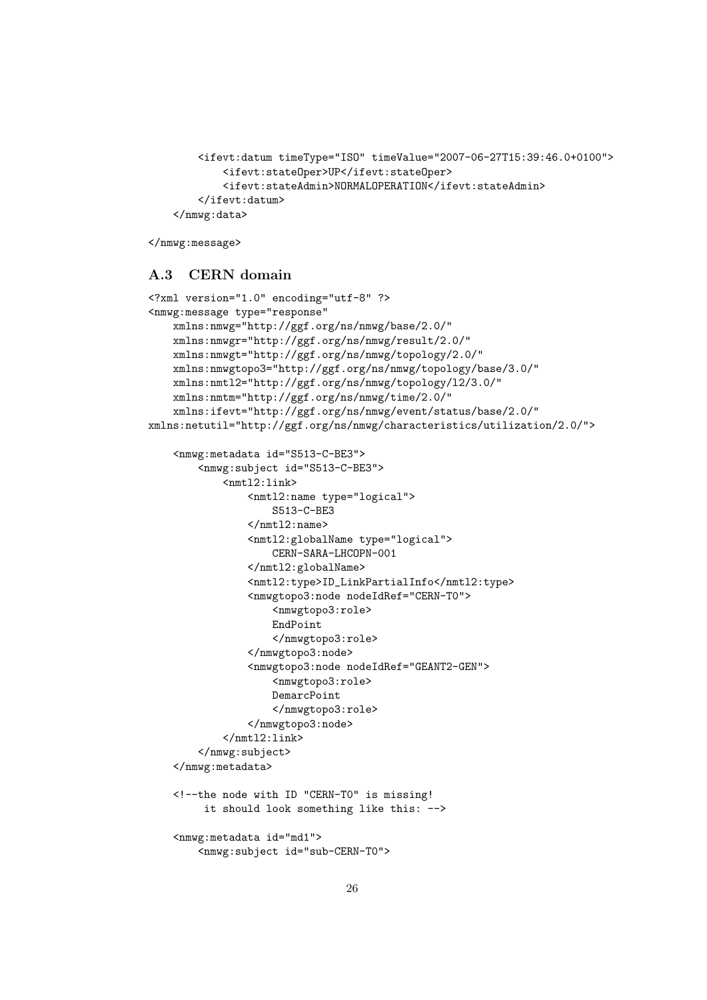```
<ifevt:datum timeType="ISO" timeValue="2007-06-27T15:39:46.0+0100">
        <ifevt:stateOper>UP</ifevt:stateOper>
        <ifevt:stateAdmin>NORMALOPERATION</ifevt:stateAdmin>
    </ifevt:datum>
</nmwg:data>
```

```
</nmwg:message>
```
## <span id="page-25-0"></span>A.3 CERN domain

```
<?xml version="1.0" encoding="utf-8" ?>
<nmwg:message type="response"
   xmlns:nmwg="http://ggf.org/ns/nmwg/base/2.0/"
   xmlns:nmwgr="http://ggf.org/ns/nmwg/result/2.0/"
   xmlns:nmwgt="http://ggf.org/ns/nmwg/topology/2.0/"
   xmlns:nmwgtopo3="http://ggf.org/ns/nmwg/topology/base/3.0/"
   xmlns:nmtl2="http://ggf.org/ns/nmwg/topology/l2/3.0/"
   xmlns:nmtm="http://ggf.org/ns/nmwg/time/2.0/"
   xmlns:ifevt="http://ggf.org/ns/nmwg/event/status/base/2.0/"
xmlns:netutil="http://ggf.org/ns/nmwg/characteristics/utilization/2.0/">
    <nmwg:metadata id="S513-C-BE3">
        <nmwg:subject id="S513-C-BE3">
            <nmtl2:link>
                <nmtl2:name type="logical">
                    S513-C-BE3
                </nmtl2:name>
                <nmtl2:globalName type="logical">
                    CERN-SARA-LHCOPN-001
                </nmtl2:globalName>
                <nmtl2:type>ID_LinkPartialInfo</nmtl2:type>
                <nmwgtopo3:node nodeIdRef="CERN-T0">
                    <nmwgtopo3:role>
                    EndPoint
                    </nmwgtopo3:role>
                </nmwgtopo3:node>
                <nmwgtopo3:node nodeIdRef="GEANT2-GEN">
                    <nmwgtopo3:role>
                    DemarcPoint
                    </nmwgtopo3:role>
                </nmwgtopo3:node>
            \frac{2}{\text{mtl2:link}}</nmwg:subject>
    </nmwg:metadata>
    <!--the node with ID "CERN-T0" is missing!
         it should look something like this: -->
    <nmwg:metadata id="md1">
        <nmwg:subject id="sub-CERN-T0">
```